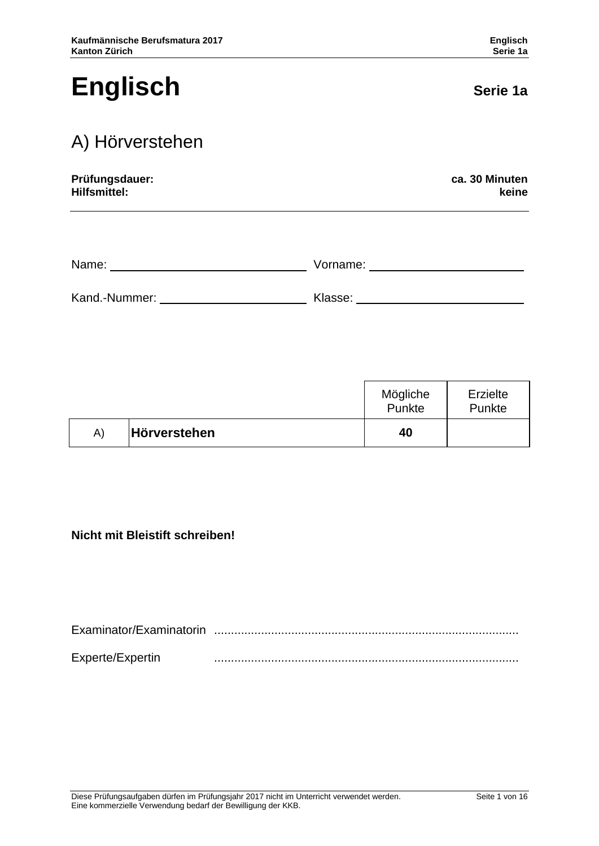# **Englisch Serie 1a**

## A) Hörverstehen

| Prüfungsdauer:      | ca. 30 Minuten |
|---------------------|----------------|
| <b>Hilfsmittel:</b> | keine          |

| Name:         | Vorname: |
|---------------|----------|
| Kand.-Nummer: | Klasse:  |

|    |              | Mögliche<br>Punkte | Erzielte<br>Punkte |
|----|--------------|--------------------|--------------------|
| A) | Hörverstehen | 40                 |                    |

### **Nicht mit Bleistift schreiben!**

Examinator/Examinatorin ........................................................................................... Experte/Expertin ...........................................................................................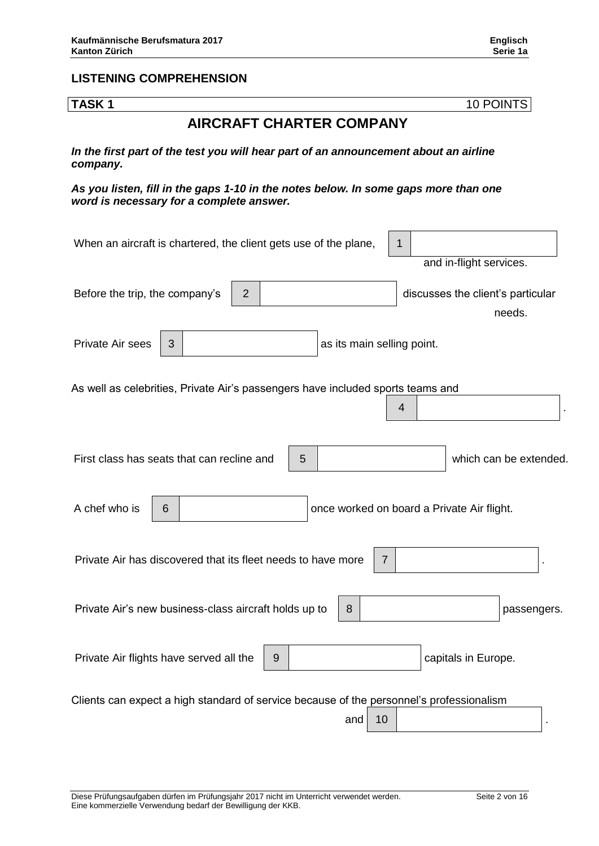#### **LISTENING COMPREHENSION**

TASK 1 10 POINTS

### **AIRCRAFT CHARTER COMPANY**

*In the first part of the test you will hear part of an announcement about an airline company.*

*As you listen, fill in the gaps 1-10 in the notes below. In some gaps more than one word is necessary for a complete answer.*

| When an aircraft is chartered, the client gets use of the plane,                                      | $\mathbf{1}$                                |
|-------------------------------------------------------------------------------------------------------|---------------------------------------------|
|                                                                                                       | and in-flight services.                     |
| Before the trip, the company's<br>$\overline{2}$                                                      | discusses the client's particular<br>needs. |
| Private Air sees<br>3<br>as its main selling point.                                                   |                                             |
| As well as celebrities, Private Air's passengers have included sports teams and                       | 4                                           |
| First class has seats that can recline and<br>5                                                       | which can be extended.                      |
| A chef who is<br>6                                                                                    | once worked on board a Private Air flight.  |
| Private Air has discovered that its fleet needs to have more<br>$\overline{7}$                        |                                             |
| Private Air's new business-class aircraft holds up to<br>8                                            | passengers.                                 |
| Private Air flights have served all the<br>$9\,$                                                      | capitals in Europe.                         |
| Clients can expect a high standard of service because of the personnel's professionalism<br>10<br>and |                                             |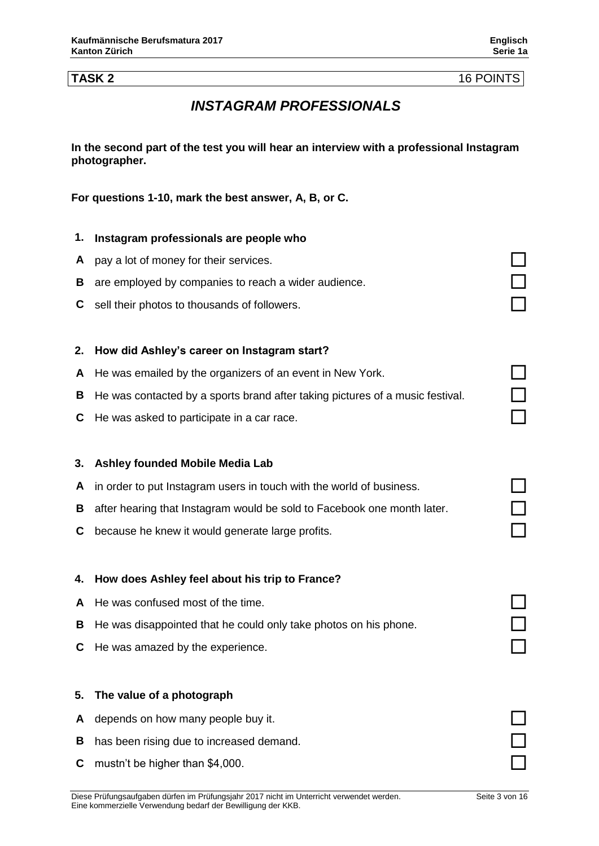**TASK 2** 16 POINTS

## *INSTAGRAM PROFESSIONALS*

**In the second part of the test you will hear an interview with a professional Instagram photographer.**

**For questions 1-10, mark the best answer, A, B, or C.** 

| 1. | Instagram professionals are people who                                        |  |
|----|-------------------------------------------------------------------------------|--|
| A  | pay a lot of money for their services.                                        |  |
| B  | are employed by companies to reach a wider audience.                          |  |
| C  | sell their photos to thousands of followers.                                  |  |
|    |                                                                               |  |
| 2. | How did Ashley's career on Instagram start?                                   |  |
| A  | He was emailed by the organizers of an event in New York.                     |  |
| B  | He was contacted by a sports brand after taking pictures of a music festival. |  |
| C  | He was asked to participate in a car race.                                    |  |
|    |                                                                               |  |
| 3. | Ashley founded Mobile Media Lab                                               |  |
| A  | in order to put Instagram users in touch with the world of business.          |  |
| В  | after hearing that Instagram would be sold to Facebook one month later.       |  |
| C  | because he knew it would generate large profits.                              |  |
|    |                                                                               |  |
| 4. | How does Ashley feel about his trip to France?                                |  |
| A  | He was confused most of the time.                                             |  |
| В  | He was disappointed that he could only take photos on his phone.              |  |
| C  | He was amazed by the experience.                                              |  |
|    |                                                                               |  |
| 5. | The value of a photograph                                                     |  |
| A  | depends on how many people buy it.                                            |  |
| B  | has been rising due to increased demand.                                      |  |
| C  | mustn't be higher than \$4,000.                                               |  |
|    |                                                                               |  |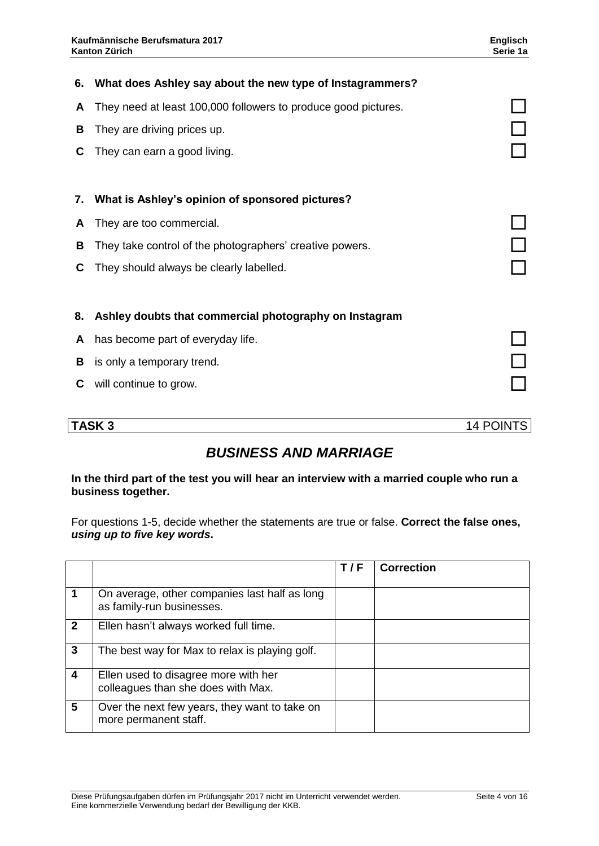| 6. | What does Ashley say about the new type of Instagrammers?      |                  |
|----|----------------------------------------------------------------|------------------|
| A  | They need at least 100,000 followers to produce good pictures. |                  |
| В  | They are driving prices up.                                    |                  |
| С  | They can earn a good living.                                   |                  |
|    |                                                                |                  |
| 7. | What is Ashley's opinion of sponsored pictures?                |                  |
| A  | They are too commercial.                                       |                  |
| B  | They take control of the photographers' creative powers.       |                  |
| С  | They should always be clearly labelled.                        |                  |
|    |                                                                |                  |
| 8. | Ashley doubts that commercial photography on Instagram         |                  |
| A  | has become part of everyday life.                              |                  |
| В  | is only a temporary trend.                                     |                  |
| С  | will continue to grow.                                         |                  |
|    |                                                                |                  |
|    | <b>TASK3</b>                                                   | <b>14 POINTS</b> |

## *BUSINESS AND MARRIAGE*

**In the third part of the test you will hear an interview with a married couple who run a business together.**

For questions 1-5, decide whether the statements are true or false. **Correct the false ones,**  *using up to five key words***.** 

|                |                                                                            | T/F | <b>Correction</b> |
|----------------|----------------------------------------------------------------------------|-----|-------------------|
|                | On average, other companies last half as long<br>as family-run businesses. |     |                   |
| $\mathbf 2$    | Ellen hasn't always worked full time.                                      |     |                   |
| 3              | The best way for Max to relax is playing golf.                             |     |                   |
| $\overline{4}$ | Ellen used to disagree more with her<br>colleagues than she does with Max. |     |                   |
| 5              | Over the next few years, they want to take on<br>more permanent staff.     |     |                   |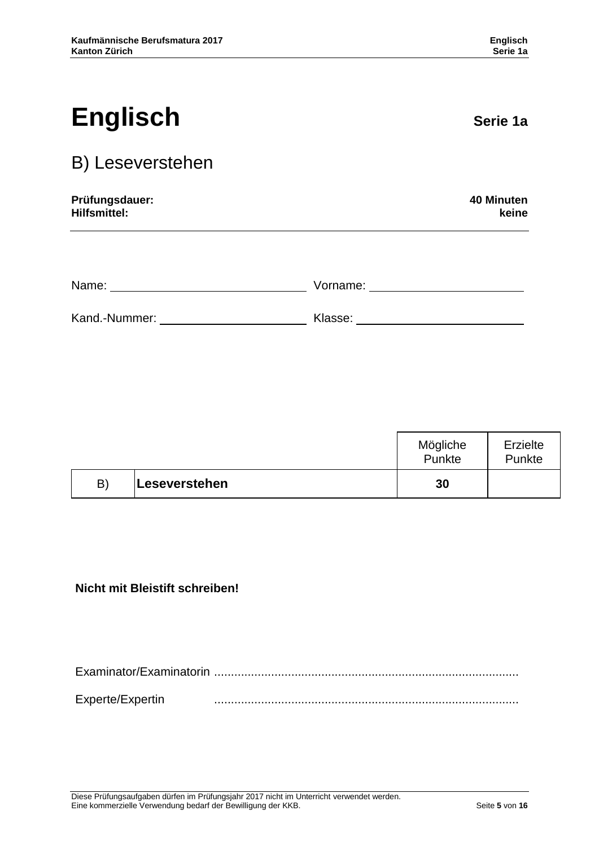# **Englisch** Serie 1a

## B) Leseverstehen

| Prüfungsdauer:      | <b>40 Minuten</b> |
|---------------------|-------------------|
| <b>Hilfsmittel:</b> | keine             |
|                     |                   |

| Name:         |         | Vorname: |
|---------------|---------|----------|
| Kand.-Nummer: | Klasse: |          |

|    |                      | Mögliche<br>Punkte | Erzielte<br>Punkte |
|----|----------------------|--------------------|--------------------|
| B) | <b>Leseverstehen</b> | 30                 |                    |

### **Nicht mit Bleistift schreiben!**

Examinator/Examinatorin ...........................................................................................

Experte/Expertin ...........................................................................................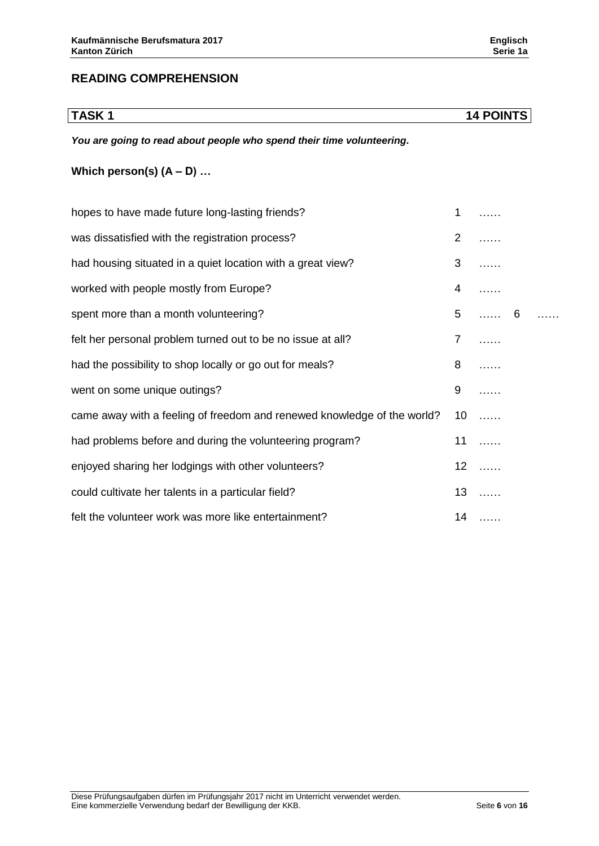### **READING COMPREHENSION**

| <b>TASK1</b>                                                            |                | <b>14 POINTS</b> |   |  |
|-------------------------------------------------------------------------|----------------|------------------|---|--|
| You are going to read about people who spend their time volunteering.   |                |                  |   |  |
| Which person(s) $(A - D)$                                               |                |                  |   |  |
| hopes to have made future long-lasting friends?                         | 1              |                  |   |  |
| was dissatisfied with the registration process?                         | $\overline{2}$ |                  |   |  |
| had housing situated in a quiet location with a great view?             | 3              |                  |   |  |
| worked with people mostly from Europe?                                  | 4              | .                |   |  |
| spent more than a month volunteering?                                   | 5              | .                | 6 |  |
| felt her personal problem turned out to be no issue at all?             | $\overline{7}$ |                  |   |  |
| had the possibility to shop locally or go out for meals?                | 8              |                  |   |  |
| went on some unique outings?                                            | 9              | .                |   |  |
| came away with a feeling of freedom and renewed knowledge of the world? | 10             |                  |   |  |
| had problems before and during the volunteering program?                | 11             | .                |   |  |
| enjoyed sharing her lodgings with other volunteers?                     | 12             | $\sim$           |   |  |
| could cultivate her talents in a particular field?                      | 13             |                  |   |  |
| felt the volunteer work was more like entertainment?                    | 14             | .                |   |  |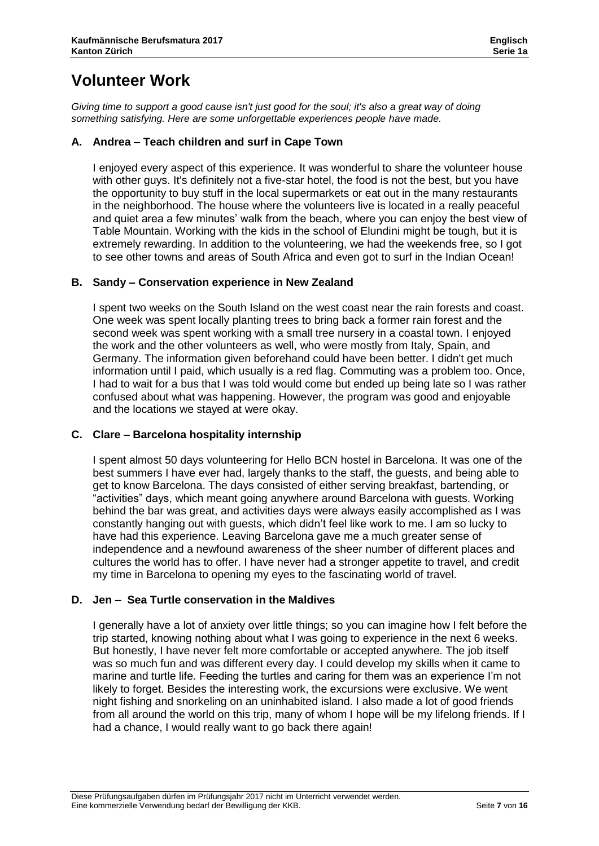## **Volunteer Work**

*Giving time to support a good cause isn't just good for the soul; it's also a great way of doing something satisfying. Here are some unforgettable experiences people have made.*

#### **A. Andrea – Teach children and surf in Cape Town**

I enjoyed every aspect of this experience. It was wonderful to share the volunteer house with other guys. It's definitely not a five-star hotel, the food is not the best, but you have the opportunity to buy stuff in the local supermarkets or eat out in the many restaurants in the neighborhood. The house where the volunteers live is located in a really peaceful and quiet area a few minutes' walk from the beach, where you can enjoy the best view of Table Mountain. Working with the kids in the school of Elundini might be tough, but it is extremely rewarding. In addition to the volunteering, we had the weekends free, so I got to see other towns and areas of South Africa and even got to surf in the Indian Ocean!

#### **B. Sandy – Conservation experience in New Zealand**

I spent two weeks on the South Island on the west coast near the rain forests and coast. One week was spent locally planting trees to bring back a former rain forest and the second week was spent working with a small tree nursery in a coastal town. I enjoyed the work and the other volunteers as well, who were mostly from Italy, Spain, and Germany. The information given beforehand could have been better. I didn't get much information until I paid, which usually is a red flag. Commuting was a problem too. Once, I had to wait for a bus that I was told would come but ended up being late so I was rather confused about what was happening. However, the program was good and enjoyable and the locations we stayed at were okay.

#### **C. Clare – Barcelona hospitality internship**

I spent almost 50 days volunteering for Hello BCN hostel in Barcelona. It was one of the best summers I have ever had, largely thanks to the staff, the guests, and being able to get to know Barcelona. The days consisted of either serving breakfast, bartending, or "activities" days, which meant going anywhere around Barcelona with guests. Working behind the bar was great, and activities days were always easily accomplished as I was constantly hanging out with guests, which didn't feel like work to me. I am so lucky to have had this experience. Leaving Barcelona gave me a much greater sense of independence and a newfound awareness of the sheer number of different places and cultures the world has to offer. I have never had a stronger appetite to travel, and credit my time in Barcelona to opening my eyes to the fascinating world of travel.

#### **D. Jen – Sea Turtle conservation in the Maldives**

I generally have a lot of anxiety over little things; so you can imagine how I felt before the trip started, knowing nothing about what I was going to experience in the next 6 weeks. But honestly, I have never felt more comfortable or accepted anywhere. The job itself was so much fun and was different every day. I could develop my skills when it came to marine and turtle life. Feeding the turtles and caring for them was an experience I'm not likely to forget. Besides the interesting work, the excursions were exclusive. We went night fishing and snorkeling on an uninhabited island. I also made a lot of good friends from all around the world on this trip, many of whom I hope will be my lifelong friends. If I had a chance, I would really want to go back there again!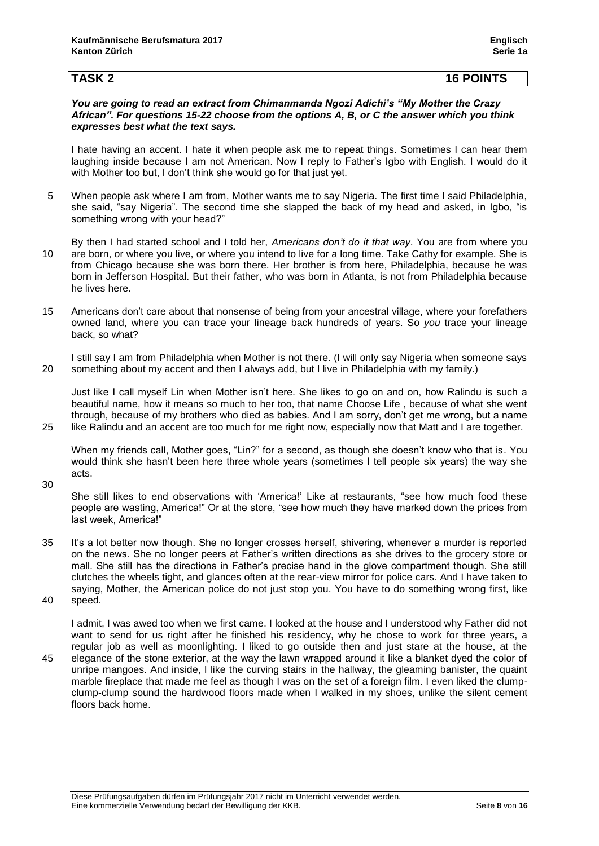### **TASK 2 16 POINTS**

#### *You are going to read an extract from Chimanmanda Ngozi Adichi's "My Mother the Crazy African". For questions 15-22 choose from the options A, B, or C the answer which you think expresses best what the text says.*

I hate having an accent. I hate it when people ask me to repeat things. Sometimes I can hear them laughing inside because I am not American. Now I reply to Father's Igbo with English. I would do it with Mother too but, I don't think she would go for that just yet.

- 5 When people ask where I am from, Mother wants me to say Nigeria. The first time I said Philadelphia, she said, "say Nigeria". The second time she slapped the back of my head and asked, in Igbo, "is something wrong with your head?"
- By then I had started school and I told her, *Americans don't do it that way*. You are from where you 10 are born, or where you live, or where you intend to live for a long time. Take Cathy for example. She is from Chicago because she was born there. Her brother is from here, Philadelphia, because he was born in Jefferson Hospital. But their father, who was born in Atlanta, is not from Philadelphia because he lives here.
- 15 Americans don't care about that nonsense of being from your ancestral village, where your forefathers owned land, where you can trace your lineage back hundreds of years. So *you* trace your lineage back, so what?

I still say I am from Philadelphia when Mother is not there. (I will only say Nigeria when someone says 20 something about my accent and then I always add, but I live in Philadelphia with my family.)

Just like I call myself Lin when Mother isn't here. She likes to go on and on, how Ralindu is such a beautiful name, how it means so much to her too, that name Choose Life , because of what she went through, because of my brothers who died as babies. And I am sorry, don't get me wrong, but a name 25 like Ralindu and an accent are too much for me right now, especially now that Matt and I are together.

When my friends call, Mother goes, "Lin?" for a second, as though she doesn't know who that is. You would think she hasn't been here three whole years (sometimes I tell people six years) the way she acts.

30

She still likes to end observations with 'America!' Like at restaurants, "see how much food these people are wasting, America!" Or at the store, "see how much they have marked down the prices from last week, America!"

35 It's a lot better now though. She no longer crosses herself, shivering, whenever a murder is reported on the news. She no longer peers at Father's written directions as she drives to the grocery store or mall. She still has the directions in Father's precise hand in the glove compartment though. She still clutches the wheels tight, and glances often at the rear-view mirror for police cars. And I have taken to saying, Mother, the American police do not just stop you. You have to do something wrong first, like 40 speed.

I admit, I was awed too when we first came. I looked at the house and I understood why Father did not want to send for us right after he finished his residency, why he chose to work for three years, a regular job as well as moonlighting. I liked to go outside then and just stare at the house, at the 45 elegance of the stone exterior, at the way the lawn wrapped around it like a blanket dyed the color of unripe mangoes. And inside, I like the curving stairs in the hallway, the gleaming banister, the quaint marble fireplace that made me feel as though I was on the set of a foreign film. I even liked the clumpclump-clump sound the hardwood floors made when I walked in my shoes, unlike the silent cement floors back home.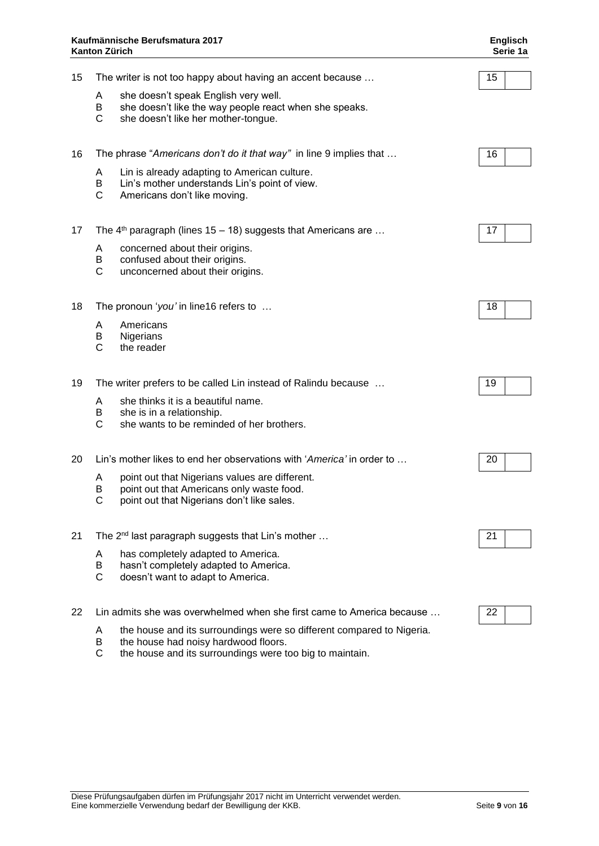| Kaufmännische Berufsmatura 2017<br><b>Kanton Zürich</b> |             |                                                                                                                                           | <b>Englisch</b><br>Serie 1a |
|---------------------------------------------------------|-------------|-------------------------------------------------------------------------------------------------------------------------------------------|-----------------------------|
| 15                                                      |             | The writer is not too happy about having an accent because                                                                                | 15                          |
|                                                         | A<br>B<br>C | she doesn't speak English very well.<br>she doesn't like the way people react when she speaks.<br>she doesn't like her mother-tongue.     |                             |
| 16                                                      |             | The phrase "Americans don't do it that way" in line 9 implies that                                                                        | 16                          |
|                                                         | A<br>B<br>С | Lin is already adapting to American culture.<br>Lin's mother understands Lin's point of view.<br>Americans don't like moving.             |                             |
| 17                                                      |             | The $4th$ paragraph (lines 15 – 18) suggests that Americans are                                                                           | 17                          |
|                                                         | A<br>B<br>C | concerned about their origins.<br>confused about their origins.<br>unconcerned about their origins.                                       |                             |
| 18                                                      |             | The pronoun 'you' in line16 refers to                                                                                                     | 18                          |
|                                                         | A<br>B<br>C | Americans<br>Nigerians<br>the reader                                                                                                      |                             |
| 19                                                      |             | The writer prefers to be called Lin instead of Ralindu because                                                                            | 19                          |
|                                                         | A<br>B<br>С | she thinks it is a beautiful name.<br>she is in a relationship.<br>she wants to be reminded of her brothers.                              |                             |
| 20                                                      |             | Lin's mother likes to end her observations with 'America' in order to                                                                     | 20                          |
|                                                         | A<br>В<br>C | point out that Nigerians values are different.<br>point out that Americans only waste food.<br>point out that Nigerians don't like sales. |                             |
| 21                                                      |             | The 2 <sup>nd</sup> last paragraph suggests that Lin's mother                                                                             | 21                          |
|                                                         | A<br>В<br>C | has completely adapted to America.<br>hasn't completely adapted to America.<br>doesn't want to adapt to America.                          |                             |

22 Lin admits she was overwhelmed when she first came to America because  $\ldots$  22

A the house and its surroundings were so different compared to Nigeria.

- B the house had noisy hardwood floors.<br>C the house and its surroundings were to
- the house and its surroundings were too big to maintain.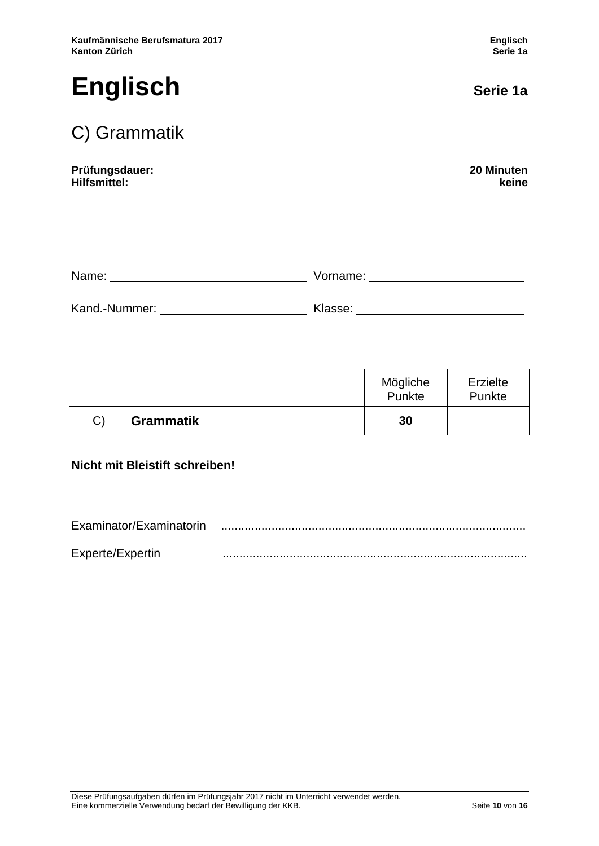# **Englisch Serie 1a**

## C) Grammatik

| Prüfungsdauer:      | 20 Minuten |
|---------------------|------------|
| <b>Hilfsmittel:</b> | keine      |

| Name:         | Vorname: |
|---------------|----------|
|               |          |
| Kand.-Nummer: | Klasse:  |

|    |           | Mögliche<br>Punkte | Erzielte<br>Punkte |
|----|-----------|--------------------|--------------------|
| C) | Grammatik | 30                 |                    |

#### **Nicht mit Bleistift schreiben!**

| Examinator/Examinatorin |  |
|-------------------------|--|
| Experte/Expertin        |  |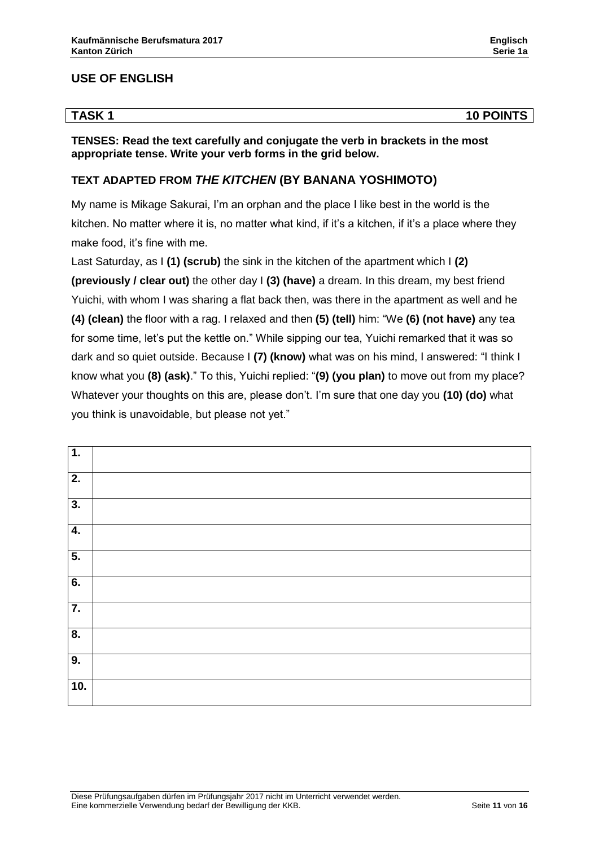#### **USE OF ENGLISH**

| <b>TASK1</b> | <b>10 POINTS</b> |
|--------------|------------------|

**TENSES: Read the text carefully and conjugate the verb in brackets in the most appropriate tense. Write your verb forms in the grid below.**

#### **TEXT ADAPTED FROM** *THE KITCHEN* **(BY BANANA YOSHIMOTO)**

My name is Mikage Sakurai, I'm an orphan and the place I like best in the world is the kitchen. No matter where it is, no matter what kind, if it's a kitchen, if it's a place where they make food, it's fine with me.

Last Saturday, as I **(1) (scrub)** the sink in the kitchen of the apartment which I **(2) (previously / clear out)** the other day I **(3) (have)** a dream. In this dream, my best friend Yuichi, with whom I was sharing a flat back then, was there in the apartment as well and he **(4) (clean)** the floor with a rag. I relaxed and then **(5) (tell)** him: "We **(6) (not have)** any tea for some time, let's put the kettle on." While sipping our tea, Yuichi remarked that it was so dark and so quiet outside. Because I **(7) (know)** what was on his mind, I answered: "I think I know what you **(8) (ask)**." To this, Yuichi replied: "**(9) (you plan)** to move out from my place? Whatever your thoughts on this are, please don't. I'm sure that one day you **(10) (do)** what

you think is unavoidable, but please not yet."

| $\overline{1}$ .          |  |
|---------------------------|--|
| $\overline{2}$ .          |  |
| $\overline{3}$ .          |  |
| 4.                        |  |
| $\overline{5}$ .          |  |
| 6.                        |  |
| $\overline{7}$ .          |  |
| $\overline{\mathbf{8}}$ . |  |
| 9.                        |  |
| 10.                       |  |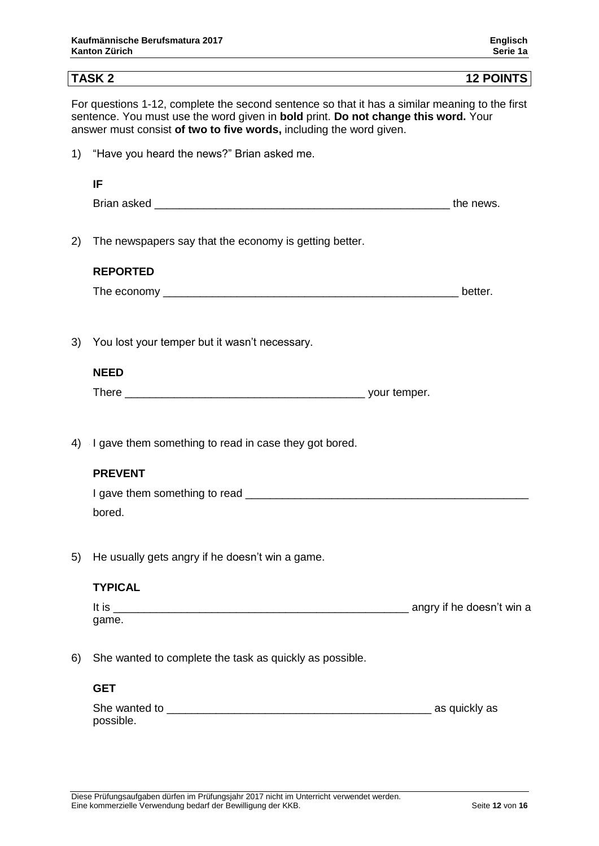|    | <b>TASK2</b>                                                                                                                                                                                                                                                | <b>12 POINTS</b> |
|----|-------------------------------------------------------------------------------------------------------------------------------------------------------------------------------------------------------------------------------------------------------------|------------------|
|    | For questions 1-12, complete the second sentence so that it has a similar meaning to the first<br>sentence. You must use the word given in bold print. Do not change this word. Your<br>answer must consist of two to five words, including the word given. |                  |
| 1) | "Have you heard the news?" Brian asked me.                                                                                                                                                                                                                  |                  |
|    | IF                                                                                                                                                                                                                                                          |                  |
|    |                                                                                                                                                                                                                                                             |                  |
| 2) | The newspapers say that the economy is getting better.                                                                                                                                                                                                      |                  |
|    | <b>REPORTED</b>                                                                                                                                                                                                                                             |                  |
|    |                                                                                                                                                                                                                                                             | better.          |
| 3) | You lost your temper but it wasn't necessary.                                                                                                                                                                                                               |                  |
|    | <b>NEED</b>                                                                                                                                                                                                                                                 |                  |
|    |                                                                                                                                                                                                                                                             |                  |
|    | 4) I gave them something to read in case they got bored.<br><b>PREVENT</b><br>bored                                                                                                                                                                         |                  |
| 5) | He usually gets angry if he doesn't win a game.                                                                                                                                                                                                             |                  |
|    | <b>TYPICAL</b>                                                                                                                                                                                                                                              |                  |
|    | game.                                                                                                                                                                                                                                                       |                  |
| 6) | She wanted to complete the task as quickly as possible.                                                                                                                                                                                                     |                  |
|    | <b>GET</b>                                                                                                                                                                                                                                                  |                  |
|    | possible.                                                                                                                                                                                                                                                   |                  |
|    |                                                                                                                                                                                                                                                             |                  |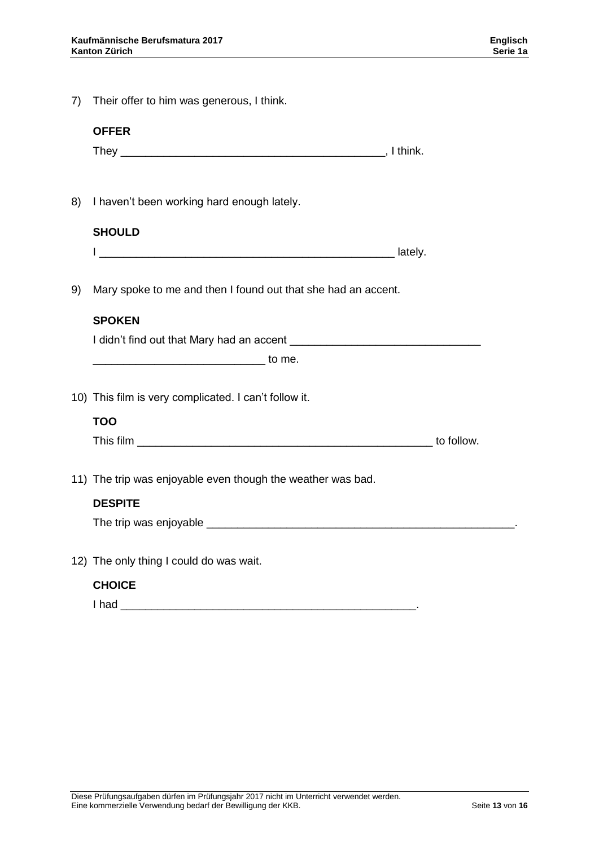7) Their offer to him was generous, I think.

#### **OFFER**

| They | المناسبة المناد |
|------|-----------------|
|      |                 |

8) I haven't been working hard enough lately.

#### **SHOULD**

 $\blacksquare$ 

9) Mary spoke to me and then I found out that she had an accent.

#### **SPOKEN**

I didn't find out that Mary had an accent **Example 20** 

 $\Box$  to me.

10) This film is very complicated. I can't follow it.

#### **TOO**

11) The trip was enjoyable even though the weather was bad.

#### **DESPITE**

| The trip was enjoyable |  |
|------------------------|--|
|                        |  |

12) The only thing I could do was wait.

#### **CHOICE**

I had \_\_\_\_\_\_\_\_\_\_\_\_\_\_\_\_\_\_\_\_\_\_\_\_\_\_\_\_\_\_\_\_\_\_\_\_\_\_\_\_\_\_\_\_\_\_\_\_.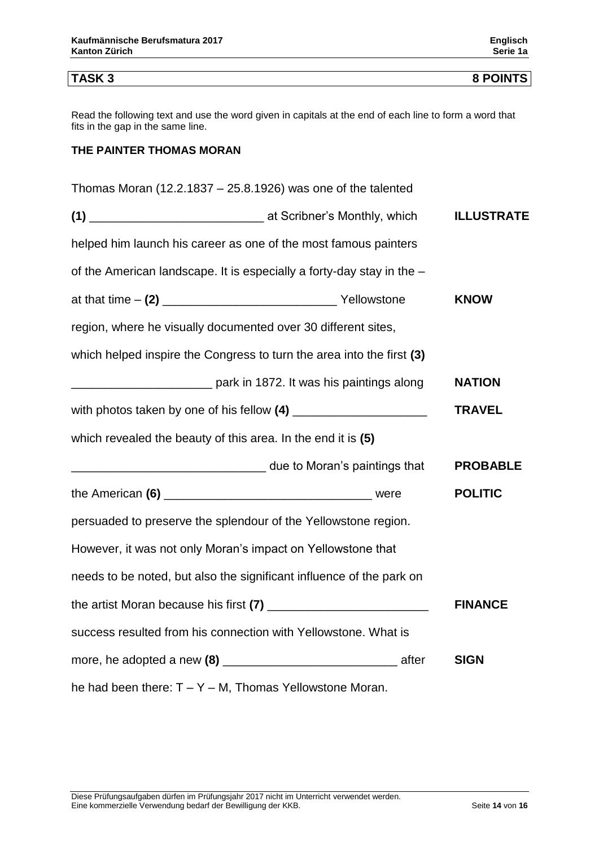Read the following text and use the word given in capitals at the end of each line to form a word that fits in the gap in the same line.

#### **THE PAINTER THOMAS MORAN**

|                                                              | Thomas Moran $(12.2.1837 - 25.8.1926)$ was one of the talented                                                 |                   |
|--------------------------------------------------------------|----------------------------------------------------------------------------------------------------------------|-------------------|
|                                                              |                                                                                                                | <b>ILLUSTRATE</b> |
|                                                              | helped him launch his career as one of the most famous painters                                                |                   |
|                                                              | of the American landscape. It is especially a forty-day stay in the -                                          |                   |
|                                                              |                                                                                                                | <b>KNOW</b>       |
|                                                              | region, where he visually documented over 30 different sites,                                                  |                   |
|                                                              | which helped inspire the Congress to turn the area into the first (3)                                          |                   |
|                                                              | example 1872. It was his paintings along                                                                       | <b>NATION</b>     |
|                                                              |                                                                                                                | <b>TRAVEL</b>     |
| which revealed the beauty of this area. In the end it is (5) |                                                                                                                |                   |
|                                                              | due to Moran's paintings that contain the manuscript of the discount of the set of the manuscript of the manus | <b>PROBABLE</b>   |
|                                                              |                                                                                                                | <b>POLITIC</b>    |
|                                                              | persuaded to preserve the splendour of the Yellowstone region.                                                 |                   |
|                                                              | However, it was not only Moran's impact on Yellowstone that                                                    |                   |
|                                                              | needs to be noted, but also the significant influence of the park on                                           |                   |
|                                                              |                                                                                                                | <b>FINANCE</b>    |
|                                                              | success resulted from his connection with Yellowstone. What is                                                 |                   |
|                                                              |                                                                                                                | <b>SIGN</b>       |
| he had been there: $T - Y - M$ , Thomas Yellowstone Moran.   |                                                                                                                |                   |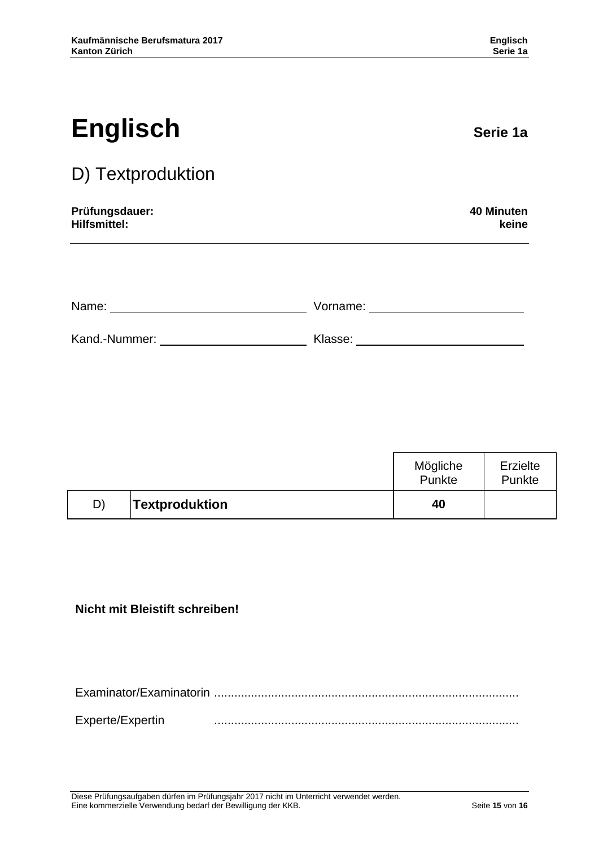| <b>Englisch</b>                       | Serie 1a                   |
|---------------------------------------|----------------------------|
| D) Textproduktion                     |                            |
| Prüfungsdauer:<br><b>Hilfsmittel:</b> | <b>40 Minuten</b><br>keine |
|                                       |                            |

| Name:         | Vorname: |  |
|---------------|----------|--|
| Kand.-Nummer: | Klasse:  |  |

|    |                       | Mögliche<br>Punkte | Erzielte<br>Punkte |
|----|-----------------------|--------------------|--------------------|
| D) | <b>Textproduktion</b> | 40                 |                    |

#### **Nicht mit Bleistift schreiben!**

Examinator/Examinatorin ........................................................................................... Experte/Expertin ...........................................................................................